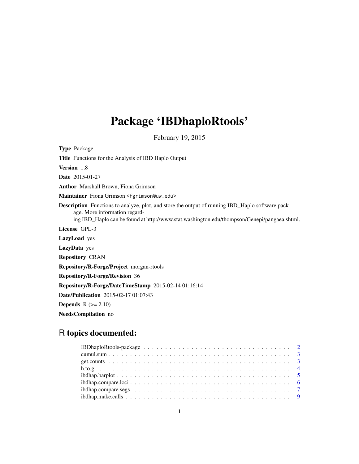# Package 'IBDhaploRtools'

February 19, 2015

Type Package Title Functions for the Analysis of IBD Haplo Output Version 1.8 Date 2015-01-27 Author Marshall Brown, Fiona Grimson Maintainer Fiona Grimson <fgrimson@uw.edu> Description Functions to analyze, plot, and store the output of running IBD\_Haplo software package. More information regarding IBD\_Haplo can be found at http://www.stat.washington.edu/thompson/Genepi/pangaea.shtml. License GPL-3 LazyLoad yes LazyData yes Repository CRAN Repository/R-Forge/Project morgan-rtools Repository/R-Forge/Revision 36 Repository/R-Forge/DateTimeStamp 2015-02-14 01:16:14 Date/Publication 2015-02-17 01:07:43 Depends  $R (=2.10)$ NeedsCompilation no

## R topics documented: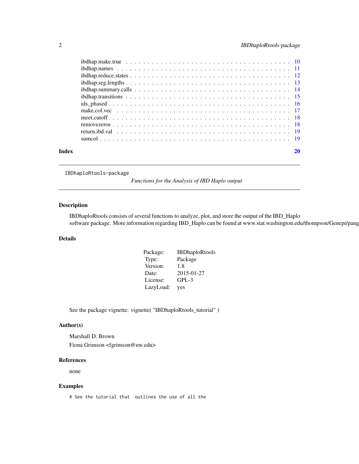<span id="page-1-0"></span>

|       | $ibdhap. seg. lengths \ldots \ldots \ldots \ldots \ldots \ldots \ldots \ldots \ldots \ldots \ldots \ldots \ldots 13$  |    |
|-------|-----------------------------------------------------------------------------------------------------------------------|----|
|       | $ibdhap.summary, calls \ldots \ldots \ldots \ldots \ldots \ldots \ldots \ldots \ldots \ldots \ldots \ldots \ldots 14$ |    |
|       |                                                                                                                       |    |
|       |                                                                                                                       |    |
|       |                                                                                                                       |    |
|       |                                                                                                                       |    |
|       |                                                                                                                       |    |
|       |                                                                                                                       |    |
|       |                                                                                                                       |    |
| Index |                                                                                                                       | 20 |
|       |                                                                                                                       |    |

IBDhaploRtools-package

*Functions for the Analysis of IBD Haplo output*

## Description

IBDhaploRtools consists of several functions to analyze, plot, and store the output of the IBD\_Haplo software package. More information regarding IBD\_Haplo can be found at www.stat.washington.edu/thompson/Genepi/pang

## Details

| Package:  | <b>IBDhaploRtools</b> |
|-----------|-----------------------|
| Type:     | Package               |
| Version:  | 1.8                   |
| Date:     | 2015-01-27            |
| License:  | $GPL-3$               |
| LazyLoad: | yes                   |

See the package vignette: vignette( "IBDhaploRtools\_tutorial" )

## Author(s)

Marshall D. Brown Fiona Grimson <fgrimson@uw.edu>

#### References

none

## Examples

# See the tutorial that outlines the use of all the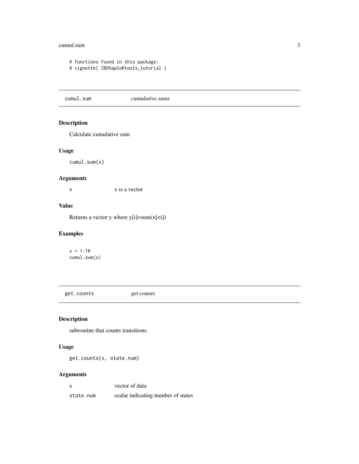#### <span id="page-2-0"></span>cumul.sum 3

# functions found in this package: # vignette( IBDhaploRtools\_tutorial )

cumul.sum *cumulative.sums*

## Description

Calculate cumulative sum

## Usage

cumul.sum(x)

## Arguments

x is a vector

## Value

Returns a vector y where  $y[i]=sum(x[\langle i])$ 

## Examples

 $x = 1:10$ cumul.sum(x)

get.counts *get counts*

## Description

subroutine that counts transitions

## Usage

get.counts(x, state.num)

#### Arguments

x vector of data state.num scalar indicating number of states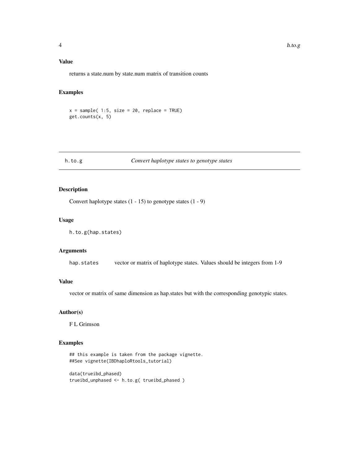<span id="page-3-0"></span>returns a state.num by state.num matrix of transition counts

## Examples

 $x = sample( 1:5, size = 20, replace = TRUE)$ get.counts(x, 5)

## h.to.g *Convert haplotype states to genotype states*

## Description

Convert haplotype states (1 - 15) to genotype states (1 - 9)

## Usage

h.to.g(hap.states)

## Arguments

hap.states vector or matrix of haplotype states. Values should be integers from 1-9

#### Value

vector or matrix of same dimension as hap.states but with the corresponding genotypic states.

#### Author(s)

F L Grimson

## Examples

```
## this example is taken from the package vignette.
##See vignette(IBDhaploRtools_tutorial)
```

```
data(trueibd_phased)
trueibd_unphased <- h.to.g( trueibd_phased )
```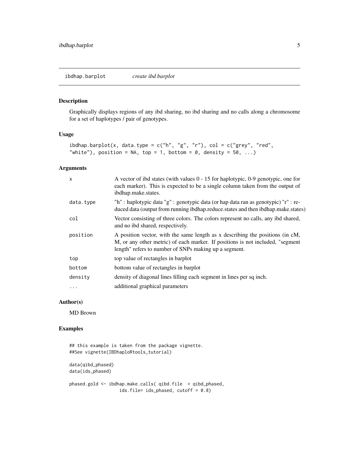#### <span id="page-4-0"></span>Description

Graphically displays regions of any ibd sharing, no ibd sharing and no calls along a chromosome for a set of haplotypes / pair of genotypes.

#### Usage

```
ibdhap.barplot(x, data.type = c("h", "g", "r"), col = c("grey", "red","white"), position = NA, top = 1, bottom = 0, density = 50, ...)
```
#### Arguments

| $\mathsf{x}$ | A vector of ibd states (with values $0 - 15$ for haplotypic, 0-9 genotypic, one for<br>each marker). This is expected to be a single column taken from the output of<br>ibdhap.make.states.                              |
|--------------|--------------------------------------------------------------------------------------------------------------------------------------------------------------------------------------------------------------------------|
| data.type    | "h" : haplotypic data "g" : genotypic data (or hap data ran as genotypic) "r" : re-<br>duced data (output from running ibdhap.reduce.states and then ibdhap.make.states)                                                 |
| col          | Vector consisting of three colors. The colors represent no calls, any ibd shared,<br>and no ibd shared, respectively.                                                                                                    |
| position     | A position vector, with the same length as x describing the positions (in cM,<br>M, or any other metric) of each marker. If positions is not included, "segment<br>length" refers to number of SNPs making up a segment. |
| top          | top value of rectangles in barplot                                                                                                                                                                                       |
| bottom       | bottom value of rectangles in barplot                                                                                                                                                                                    |
| density      | density of diagonal lines filling each segment in lines per sq inch.                                                                                                                                                     |
| $\ddotsc$    | additional graphical parameters                                                                                                                                                                                          |

## Author(s)

MD Brown

## Examples

```
## this example is taken from the package vignette.
##See vignette(IBDhaploRtools_tutorial)
```
data(qibd\_phased) data(ids\_phased)

```
phased.gold <- ibdhap.make.calls( qibd.file = qibd_phased,
                  ids.file= ids_phased, cutoff = 0.8)
```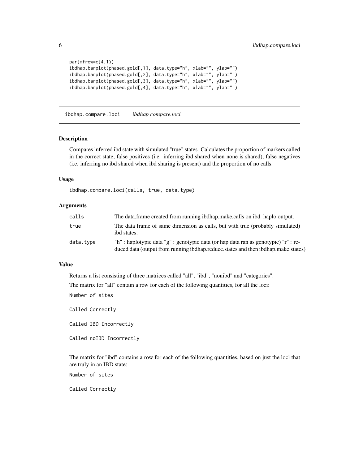```
par(mfrow=c(4,1))
ibdhap.barplot(phased.gold[,1], data.type="h", xlab="", ylab="")
ibdhap.barplot(phased.gold[,2], data.type="h", xlab="", ylab="")
ibdhap.barplot(phased.gold[,3], data.type="h", xlab="", ylab="")
ibdhap.barplot(phased.gold[,4], data.type="h", xlab="", ylab="")
```
ibdhap.compare.loci *ibdhap compare.loci*

#### Description

Compares inferred ibd state with simulated "true" states. Calculates the proportion of markers called in the correct state, false positives (i.e. inferring ibd shared when none is shared), false negatives (i.e. inferring no ibd shared when ibd sharing is present) and the proportion of no calls.

#### Usage

ibdhap.compare.loci(calls, true, data.type)

## Arguments

| calls     | The data frame created from running ibdhap make calls on ibd haplo output.                                                                                               |
|-----------|--------------------------------------------------------------------------------------------------------------------------------------------------------------------------|
| true      | The data frame of same dimension as calls, but with true (probably simulated)<br>ibd states.                                                                             |
| data.type | "h" : haplotypic data "g" : genotypic data (or hap data ran as genotypic) "r" : re-<br>duced data (output from running ibdhap.reduce.states and then ibdhap.make.states) |

## Value

Returns a list consisting of three matrices called "all", "ibd", "nonibd" and "categories".

The matrix for "all" contain a row for each of the following quantities, for all the loci:

Number of sites

Called Correctly

Called IBD Incorrectly

Called noIBD Incorrectly

The matrix for "ibd" contains a row for each of the following quantities, based on just the loci that are truly in an IBD state:

Number of sites

Called Correctly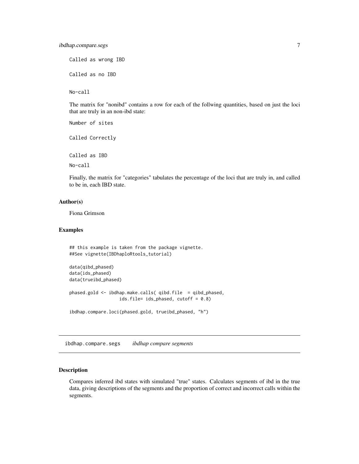<span id="page-6-0"></span>Called as wrong IBD Called as no IBD

No-call

The matrix for "nonibd" contains a row for each of the follwing quantities, based on just the loci that are truly in an non-ibd state:

Number of sites Called Correctly Called as IBD No-call

Finally, the matrix for "categories" tabulates the percentage of the loci that are truly in, and called to be in, each IBD state.

#### Author(s)

Fiona Grimson

#### Examples

```
## this example is taken from the package vignette.
##See vignette(IBDhaploRtools_tutorial)
data(qibd_phased)
data(ids_phased)
data(trueibd_phased)
phased.gold <- ibdhap.make.calls( qibd.file = qibd_phased,
                   ids.file= ids_phased, cutoff = 0.8)
ibdhap.compare.loci(phased.gold, trueibd_phased, "h")
```
ibdhap.compare.segs *ibdhap compare segments*

#### Description

Compares inferred ibd states with simulated "true" states. Calculates segments of ibd in the true data, giving descriptions of the segments and the proportion of correct and incorrect calls within the segments.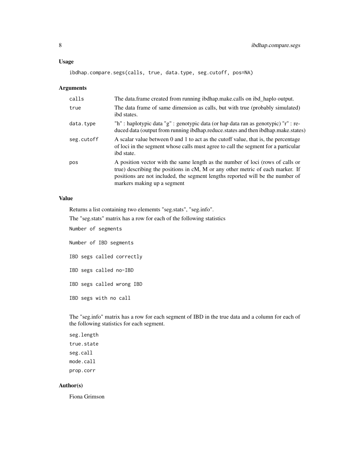#### Usage

```
ibdhap.compare.segs(calls, true, data.type, seg.cutoff, pos=NA)
```
#### Arguments

| calls      | The data.frame created from running ibdhap.make.calls on ibd_haplo output.                                                                                                                                                                                                           |
|------------|--------------------------------------------------------------------------------------------------------------------------------------------------------------------------------------------------------------------------------------------------------------------------------------|
| true       | The data frame of same dimension as calls, but with true (probably simulated)<br>ibd states.                                                                                                                                                                                         |
| data.type  | "h" : haplotypic data "g" : genotypic data (or hap data ran as genotypic) "r" : re-<br>duced data (output from running ibdhap.reduce.states and then ibdhap.make.states)                                                                                                             |
| seg.cutoff | A scalar value between 0 and 1 to act as the cutoff value, that is, the percentage<br>of loci in the segment whose calls must agree to call the segment for a particular<br>ibd state.                                                                                               |
| pos        | A position vector with the same length as the number of loci (rows of calls or<br>true) describing the positions in $cM$ , M or any other metric of each marker. If<br>positions are not included, the segment lengths reported will be the number of<br>markers making up a segment |

## Value

Returns a list containing two elememts "seg.stats", "seg.info".

The "seg.stats" matrix has a row for each of the following statistics

Number of segments

Number of IBD segments

IBD segs called correctly

IBD segs called no-IBD

IBD segs called wrong IBD

IBD segs with no call

The "seg.info" matrix has a row for each segment of IBD in the true data and a column for each of the following statistics for each segment.

seg.length true.state seg.call mode.call prop.corr

## Author(s)

Fiona Grimson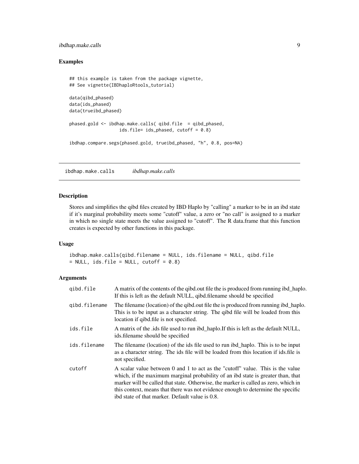## <span id="page-8-0"></span>ibdhap.make.calls 9

## Examples

```
## this example is taken from the package vignette,
## See vignette(IBDhaploRtools_tutorial)
data(qibd_phased)
data(ids_phased)
data(trueibd_phased)
phased.gold <- ibdhap.make.calls( qibd.file = qibd_phased,
                  ids.file= ids_phased, cutoff = 0.8)
ibdhap.compare.segs(phased.gold, trueibd_phased, "h", 0.8, pos=NA)
```
ibdhap.make.calls *ibdhap.make.calls*

#### Description

Stores and simplifies the qibd files created by IBD Haplo by "calling" a marker to be in an ibd state if it's marginal probability meets some "cutoff" value, a zero or "no call" is assigned to a marker in which no single state meets the value assigned to "cutoff". The R data.frame that this function creates is expected by other functions in this package.

#### Usage

```
ibdhap.make.calls(qibd.filename = NULL, ids.filename = NULL, qibd.file
= NULL, ids.file = NULL, cutoff = 0.8)
```
## Arguments

| gibd.file     | A matrix of the contents of the qibd.out file the is produced from running ibd_haplo.<br>If this is left as the default NULL, qibd.filename should be specified                                                                                                                                                                                                                                  |
|---------------|--------------------------------------------------------------------------------------------------------------------------------------------------------------------------------------------------------------------------------------------------------------------------------------------------------------------------------------------------------------------------------------------------|
| gibd.filename | The filename (location) of the qibd.out file the is produced from running ibd_haplo.<br>This is to be input as a character string. The qibd file will be loaded from this<br>location if qibd.file is not specified.                                                                                                                                                                             |
| ids.file      | A matrix of the .ids file used to run ibd_haplo.If this is left as the default NULL,<br>ids.filename should be specified                                                                                                                                                                                                                                                                         |
| ids.filename  | The filename (location) of the ids file used to run ibd_haplo. This is to be input<br>as a character string. The ids file will be loaded from this location if ids.file is<br>not specified.                                                                                                                                                                                                     |
| cutoff        | A scalar value between 0 and 1 to act as the "cutoff" value. This is the value<br>which, if the maximum marginal probability of an ibd state is greater than, that<br>marker will be called that state. Otherwise, the marker is called as zero, which in<br>this context, means that there was not evidence enough to determine the specific<br>ibd state of that marker. Default value is 0.8. |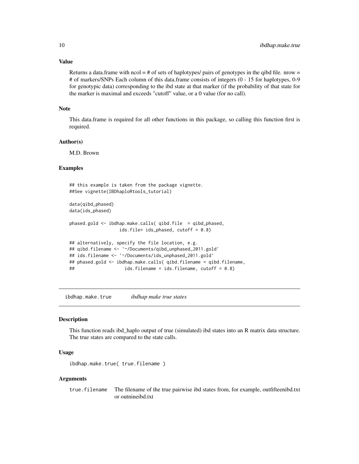#### Value

Returns a data.frame with  $\text{ncol} = \# \text{ of sets of haplotypes/ pairs of genotypes in the qibd file.$ # of markers/SNPs Each column of this data.frame consists of integers (0 - 15 for haplotypes, 0-9 for genotypic data) corresponding to the ibd state at that marker (if the probability of that state for the marker is maximal and exceeds "cutoff" value, or a 0 value (for no call).

#### Note

This data.frame is required for all other functions in this package, so calling this function first is required.

#### Author(s)

M.D. Brown

### Examples

```
## this example is taken from the package vignette.
##See vignette(IBDhaploRtools_tutorial)
data(qibd_phased)
data(ids_phased)
phased.gold <- ibdhap.make.calls( qibd.file = qibd_phased,
                  ids.file= ids_phased, cutoff = 0.8)
## alternatively, specify the file location, e.g.
## qibd.filename <- '~/Documents/qibd_unphased_2011.gold'
## ids.filename <- '~/Documents/ids_unphased_2011.gold'
## phased.gold <- ibdhap.make.calls( qibd.filename = qibd.filename,
## ids.filename = ids.filename, cutoff = 0.8)
```
ibdhap.make.true *ibdhap make true states*

#### Description

This function reads ibd\_haplo output of true (simulated) ibd states into an R matrix data structure. The true states are compared to the state calls.

#### Usage

```
ibdhap.make.true( true.filename )
```
#### Arguments

true.filename The filename of the true pairwise ibd states from, for example, outfifteenibd.txt or outnineibd.txt

<span id="page-9-0"></span>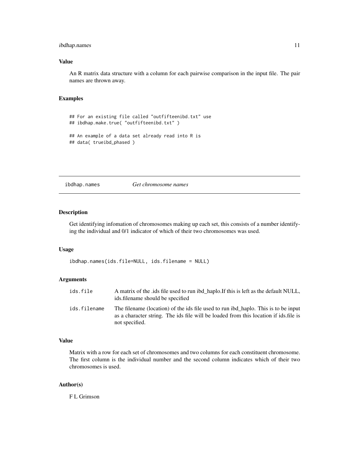## <span id="page-10-0"></span>ibdhap.names 11

## Value

An R matrix data structure with a column for each pairwise comparison in the input file. The pair names are thrown away.

#### Examples

```
## For an existing file called "outfifteenibd.txt" use
## ibdhap.make.true( "outfifteenibd.txt" )
## An example of a data set already read into R is
## data( trueibd_phased )
```
ibdhap.names *Get chromosome names*

## Description

Get identifying infomation of chromosomes making up each set, this consists of a number identifying the individual and 0/1 indicator of which of their two chromosomes was used.

#### Usage

ibdhap.names(ids.file=NULL, ids.filename = NULL)

## Arguments

| ids.file     | A matrix of the .ids file used to run ibd_haplo.If this is left as the default NULL,<br>ids. filename should be specified                                                                    |
|--------------|----------------------------------------------------------------------------------------------------------------------------------------------------------------------------------------------|
| ids.filename | The filename (location) of the ids file used to run ibd haplo. This is to be input<br>as a character string. The ids file will be loaded from this location if ids file is<br>not specified. |

## Value

Matrix with a row for each set of chromosomes and two columns for each constituent chromosome. The first column is the individual number and the second column indicates which of their two chromosomes is used.

#### Author(s)

F L Grimson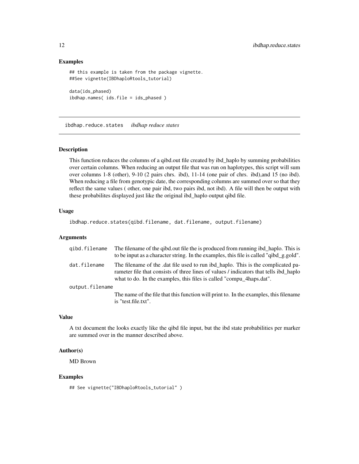#### Examples

```
## this example is taken from the package vignette.
##See vignette(IBDhaploRtools_tutorial)
data(ids_phased)
ibdhap.names( ids.file = ids_phased )
```
ibdhap.reduce.states *ibdhap reduce states*

#### Description

This function reduces the columns of a qibd.out file created by ibd\_haplo by summing probabilities over certain columns. When reducing an output file that was run on haplotypes, this script will sum over columns 1-8 (other), 9-10 (2 pairs chrs. ibd), 11-14 (one pair of chrs. ibd),and 15 (no ibd). When reducing a file from genotypic date, the corresponding columns are summed over so that they reflect the same values ( other, one pair ibd, two pairs ibd, not ibd). A file will then be output with these probabilites displayed just like the original ibd\_haplo output qibd file.

#### Usage

ibdhap.reduce.states(qibd.filename, dat.filename, output.filename)

#### Arguments

| gibd.filename   | The filename of the qibd.out file the is produced from running ibd_haplo. This is<br>to be input as a character string. In the examples, this file is called "qibd_g.gold".                                                                      |
|-----------------|--------------------------------------------------------------------------------------------------------------------------------------------------------------------------------------------------------------------------------------------------|
| dat.filename    | The filename of the dat file used to run ibd haplo. This is the complicated pa-<br>rameter file that consists of three lines of values / indicators that tells ibd haplo<br>what to do. In the examples, this files is called "compu_4haps.dat". |
| output.filename |                                                                                                                                                                                                                                                  |
|                 | The name of the file that this function will print to. In the examples, this filename<br>is "test.file.txt".                                                                                                                                     |

#### Value

A txt document the looks exactly like the qibd file input, but the ibd state probabilities per marker are summed over in the manner described above.

## Author(s)

MD Brown

#### Examples

```
## See vignette("IBDhaploRtools_tutorial" )
```
<span id="page-11-0"></span>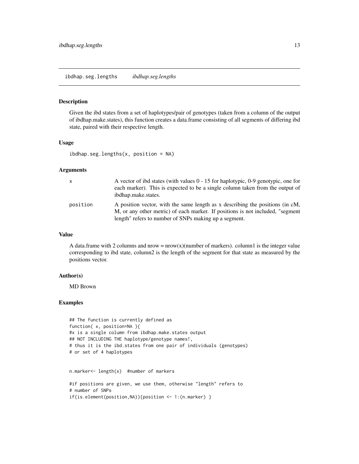#### <span id="page-12-0"></span>Description

Given the ibd states from a set of haplotypes/pair of genotypes (taken from a column of the output of ibdhap.make.states), this function creates a data.frame consisting of all segments of differing ibd state, paired with their respective length.

## Usage

 $ibdhap. seg. lengths(x, position = NA)$ 

#### Arguments

| x        | A vector of ibd states (with values $0 - 15$ for haplotypic, 0-9 genotypic, one for<br>each marker). This is expected to be a single column taken from the output of<br>ibdhap.make.states.                              |
|----------|--------------------------------------------------------------------------------------------------------------------------------------------------------------------------------------------------------------------------|
| position | A position vector, with the same length as x describing the positions (in cM,<br>M, or any other metric) of each marker. If positions is not included, "segment<br>length" refers to number of SNPs making up a segment. |

## Value

A data.frame with 2 columns and nrow =  $n(w(x)(number of markers))$ . column1 is the integer value corresponding to ibd state, column2 is the length of the segment for that state as measured by the positions vector.

#### Author(s)

MD Brown

#### Examples

```
## The function is currently defined as
function( x, position=NA ){
#x is a single column from ibdhap.make.states output
## NOT INCLUDING THE haplotype/genotype names!,
# thus it is the ibd.states from one pair of individuals (genotypes)
# or set of 4 haplotypes
```

```
n.marker<- length(x) #number of markers
```

```
#if positions are given, we use them, otherwise "length" refers to
# number of SNPs
if(is.element(position,NA)){position <- 1:(n.marker) }
```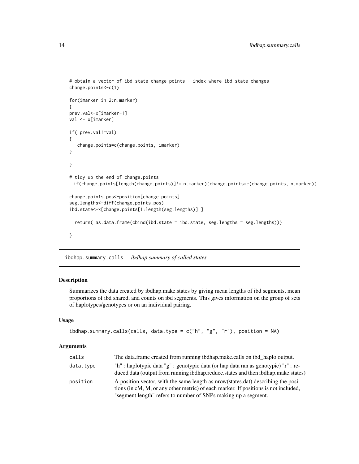```
# obtain a vector of ibd state change points --index where ibd state changes
change.points<-c(1)
for(imarker in 2:n.marker)
{
prev.val<-x[imarker-1]
val <- x[imarker]
if( prev.val!=val)
{
   change.points=c(change.points, imarker)
}
}
# tidy up the end of change.points
 if(change.points[length(change.points)]!= n.marker){change.points=c(change.points, n.marker)}
change.points.pos<-position[change.points]
seg.lengths<-diff(change.points.pos)
ibd.state<-x[change.points[1:length(seg.lengths)] ]
  return( as.data.frame(cbind(ibd.state = ibd.state, seg.lengths = seg.lengths)))
}
```
ibdhap.summary.calls *ibdhap summary of called states*

## Description

Summarizes the data created by ibdhap.make.states by giving mean lengths of ibd segments, mean proportions of ibd shared, and counts on ibd segments. This gives information on the group of sets of haplotypes/genotypes or on an individual pairing.

#### Usage

```
ibdhap.summary.calls(calls, data.type = c("h", "g", "r"), position = NA)
```
#### **Arguments**

| calls     | The data.frame created from running ibdhap.make.calls on ibd_haplo output.                                                                                                                                                                |
|-----------|-------------------------------------------------------------------------------------------------------------------------------------------------------------------------------------------------------------------------------------------|
| data.type | "h" : haplotypic data "g" : genotypic data (or hap data ran as genotypic) "r" : re-<br>duced data (output from running ibdhap.reduce.states and then ibdhap.make.states)                                                                  |
| position  | A position vector, with the same length as nrow(states.dat) describing the posi-<br>tions (in cM, M, or any other metric) of each marker. If positions is not included,<br>"segment length" refers to number of SNPs making up a segment. |

<span id="page-13-0"></span>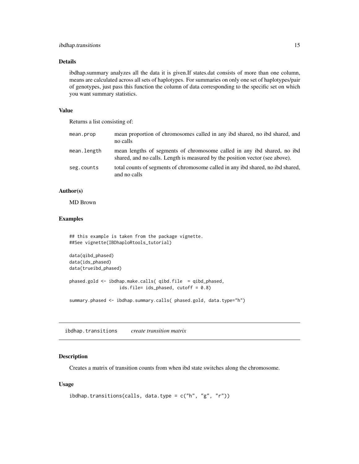## <span id="page-14-0"></span>ibdhap.transitions 15

#### Details

ibdhap.summary analyzes all the data it is given.If states.dat consists of more than one column, means are calculated across all sets of haplotypes. For summaries on only one set of haplotypes/pair of genotypes, just pass this function the column of data corresponding to the specific set on which you want summary statistics.

#### Value

Returns a list consisting of:

| mean.prop   | mean proportion of chromosomes called in any ibd shared, no ibd shared, and<br>no calls                                                                 |
|-------------|---------------------------------------------------------------------------------------------------------------------------------------------------------|
| mean.length | mean lengths of segments of chromosome called in any ibd shared, no ibd<br>shared, and no calls. Length is measured by the position vector (see above). |
| seg.counts  | total counts of segments of chromosome called in any ibd shared, no ibd shared,<br>and no calls                                                         |

## Author(s)

MD Brown

## Examples

```
## this example is taken from the package vignette.
##See vignette(IBDhaploRtools_tutorial)
data(qibd_phased)
data(ids_phased)
data(trueibd_phased)
```

```
phased.gold <- ibdhap.make.calls( qibd.file = qibd_phased,
                   ids.file= ids_phased, cutoff = 0.8)
```
summary.phased <- ibdhap.summary.calls( phased.gold, data.type="h")

ibdhap.transitions *create transition matrix*

#### Description

Creates a matrix of transition counts from when ibd state switches along the chromosome.

## Usage

```
ibdhap.transitions(calls, data.type = c("h", "g", "r"))
```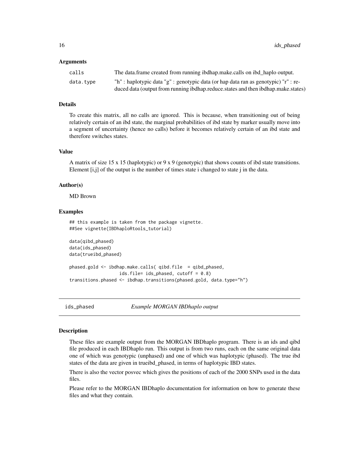#### <span id="page-15-0"></span>Arguments

| calls     | The data frame created from running ibdhap make calls on ibd haplo output.          |
|-----------|-------------------------------------------------------------------------------------|
| data.type | "h" : haplotypic data "g" : genotypic data (or hap data ran as genotypic) "r" : re- |
|           | duced data (output from running ibdhap.reduce.states and then ibdhap.make.states)   |

## Details

To create this matrix, all no calls are ignored. This is because, when transitioning out of being relatively certain of an ibd state, the marginal probabilities of ibd state by marker usually move into a segment of uncertainty (hence no calls) before it becomes relatively certain of an ibd state and therefore switches states.

## Value

A matrix of size 15 x 15 (haplotypic) or 9 x 9 (genotypic) that shows counts of ibd state transitions. Element [i,j] of the output is the number of times state i changed to state j in the data.

#### Author(s)

MD Brown

#### Examples

```
## this example is taken from the package vignette.
##See vignette(IBDhaploRtools_tutorial)
```

```
data(qibd_phased)
data(ids_phased)
data(trueibd_phased)
```

```
phased.gold <- ibdhap.make.calls( qibd.file = qibd_phased,
                  ids.file= ids_phased, cutoff = 0.8)
transitions.phased <- ibdhap.transitions(phased.gold, data.type="h")
```
ids\_phased *Example MORGAN IBDhaplo output*

#### **Description**

These files are example output from the MORGAN IBDhaplo program. There is an ids and qibd file produced in each IBDhaplo run. This output is from two runs, each on the same original data one of which was genotypic (unphased) and one of which was haplotypic (phased). The true ibd states of the data are given in trueibd\_phased, in terms of haplotypic IBD states.

There is also the vector posvec which gives the positions of each of the 2000 SNPs used in the data files.

Please refer to the MORGAN IBDhaplo documentation for information on how to generate these files and what they contain.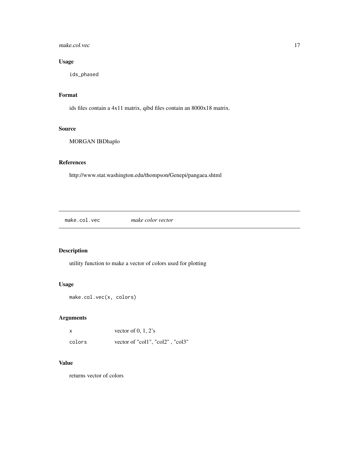## <span id="page-16-0"></span>make.col.vec 17

## Usage

ids\_phased

## Format

ids files contain a 4x11 matrix, qibd files contain an 8000x18 matrix.

## Source

MORGAN IBDhaplo

## References

http://www.stat.washington.edu/thompson/Genepi/pangaea.shtml

make.col.vec *make color vector*

## Description

utility function to make a vector of colors used for plotting

## Usage

```
make.col.vec(x, colors)
```
## Arguments

| x      | vector of $0, 1, 2$ 's           |
|--------|----------------------------------|
| colors | vector of "col1", "col2", "col3" |

## Value

returns vector of colors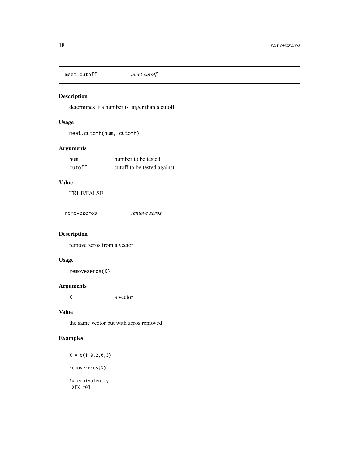<span id="page-17-0"></span>meet.cutoff *meet cutoff*

## Description

determines if a number is larger than a cutoff

## Usage

meet.cutoff(num, cutoff)

## Arguments

| num    | number to be tested         |
|--------|-----------------------------|
| cutoff | cutoff to be tested against |

#### Value

TRUE/FALSE

removezeros *remove zeros*

## Description

remove zeros from a vector

## Usage

removezeros(X)

## Arguments

X a vector

#### Value

the same vector but with zeros removed

## Examples

 $X = c(1, 0, 2, 0, 3)$ removezeros(X) ## equivalently X[X!=0]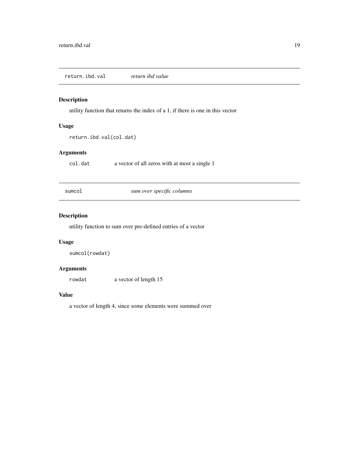<span id="page-18-0"></span>return.ibd.val *return ibd value*

## Description

utility function that returns the index of a 1, if there is one in this vector

### Usage

```
return.ibd.val(col.dat)
```
## Arguments

col.dat a vector of all zeros with at most a single 1

sumcol *sum over specific columns*

## Description

utility function to sum over pre-defined entries of a vector

### Usage

sumcol(rowdat)

#### Arguments

rowdat a vector of length 15

#### Value

a vector of length 4, since some elements were summed over